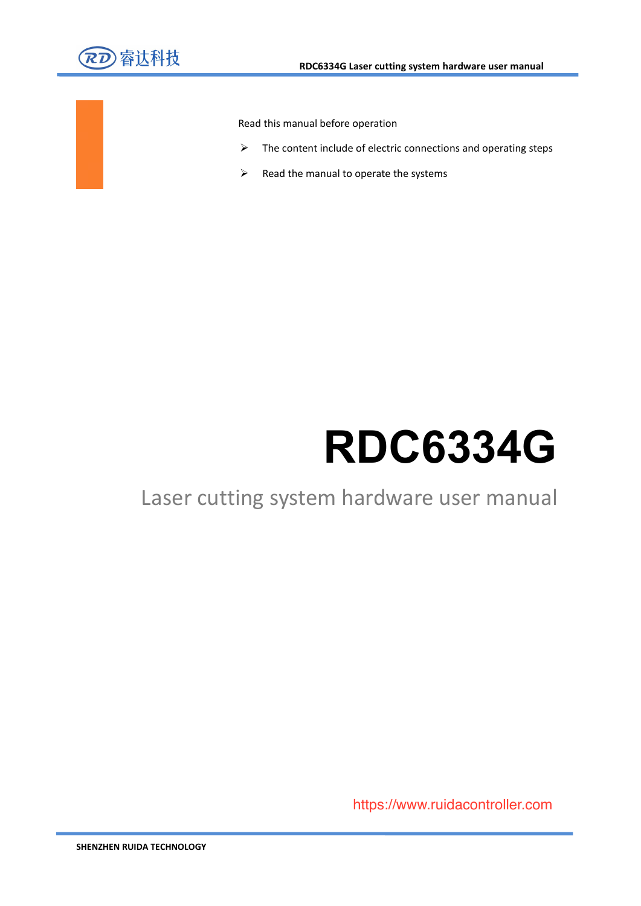

Read this manual before operation

- $\triangleright$  The content include of electric connections and operating steps
- $\triangleright$  Read the manual to operate the systems

# **RDC6334G**

### Laser cutting system hardware user manual

Web: www.rd-acs.com and www.rd-acs.com and web: www.rd-acs.com and web: www.rd-acs https://www.ruidacontroller.com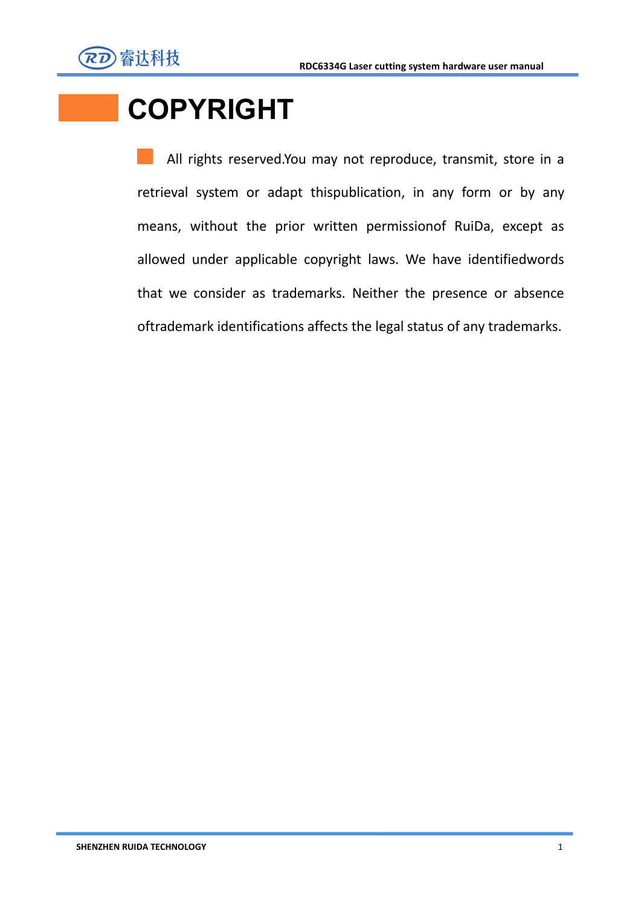

# **COPYRIGHT**

All rights reserved.You may not reproduce, transmit, store in a retrieval system or adapt thispublication, in any form or by any means, without the prior written permissionof RuiDa, except as allowed under applicable copyright laws. We have identifiedwords that we consider as trademarks. Neither the presence or absence oftrademark identifications affects the legal status of any trademarks.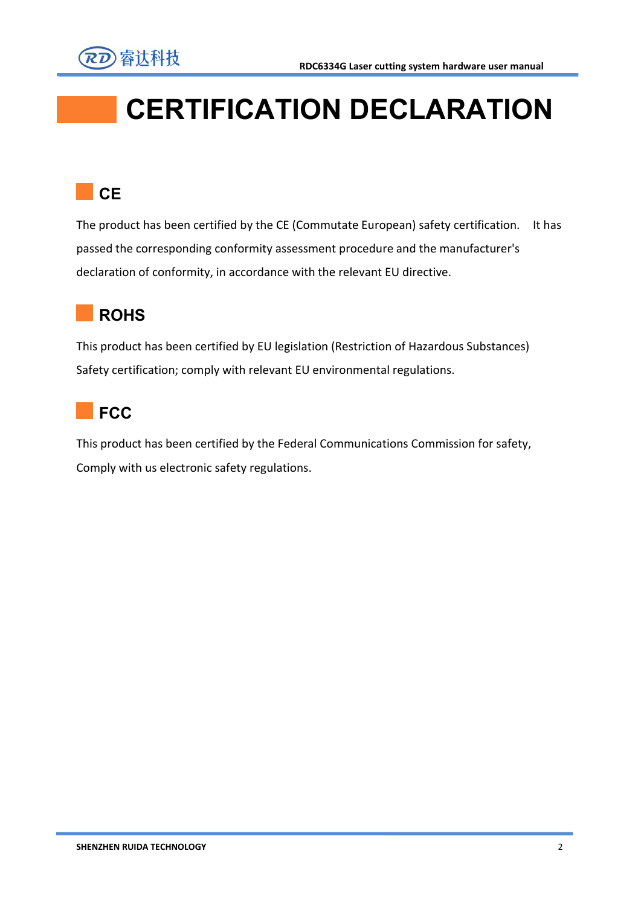



# **CERTIFICATION DECLARATION**

### **CE CE**

The product has been certified by the CE (Commutate European) safety certification. It has passed the corresponding conformity assessment procedure and the manufacturer's declaration of conformity, in accordance with the relevant EU directive.



This product has been certified by EU legislation (Restriction of Hazardous Substances) Safety certification; comply with relevant EU environmental regulations.



This product has been certified by the Federal Communications Commission for safety, Comply with us electronic safety regulations.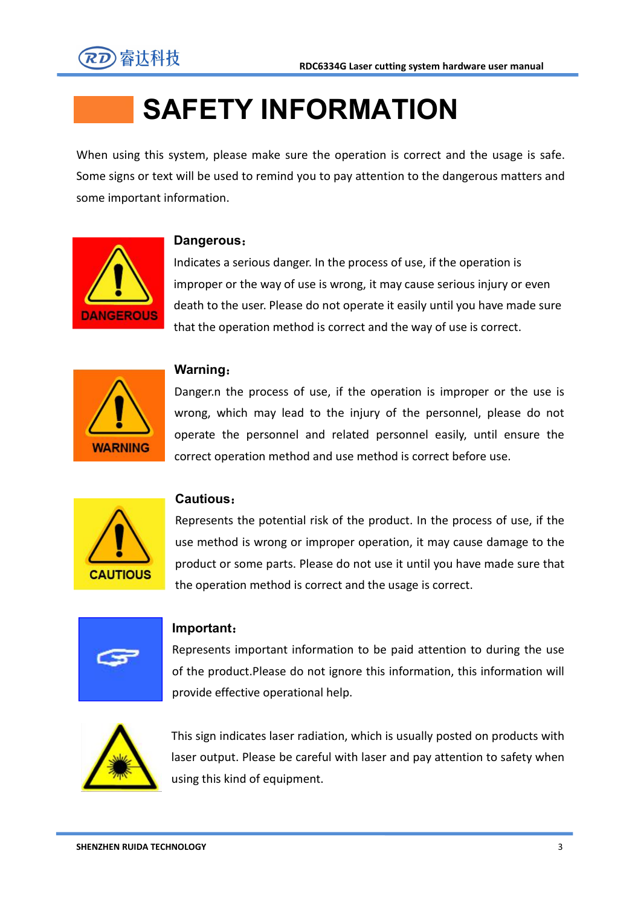

# **SAFETY INFORMATION**

When using this system, please make sure the operation is correct and the usage is safe. Some signs or text will be used to remind you to pay attention to the dangerous matters and some important information.



#### **Dangerous**:

Indicates a serious danger. In the process of use, if the operation is improper or the way of use is wrong, it may cause serious injury or even death to the user. Please do not operate it easily until you have made sure that the operation method is correct and the way of use is correct.



#### **Warning**:

Danger.n the process of use, if the operation is improper or the use is wrong, which may lead to the injury of the personnel, please do not operate the personnel and related personnel easily, until ensure the correct operation method and use method is correct before use.



#### **Cautious**:

Represents the potential risk of the product. In the process of use, if the use method is wrong or improper operation, it may cause damage to the product or some parts. Please do not use it until you have made sure that the operation method is correct and the usage is correct.



#### **Important**:

Represents important information to be paid attention to during the use of the product.Please do not ignore this information, this information will provide effective operational help.



This sign indicates laser radiation, which is usually posted on products with laser output. Please be careful with laser and pay attention to safety when using this kind of equipment.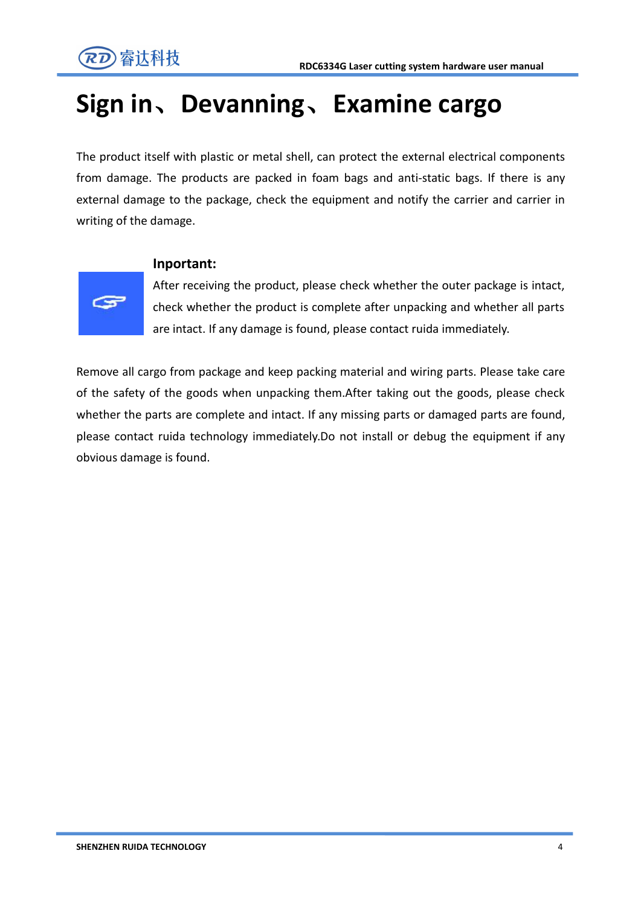

## **Sign in**、**Devanning**、**Examine cargo**

The product itself with plastic or metal shell, can protect the external electrical components from damage. The products are packed in foam bags and anti-static bags. If there is any external damage to the package, check the equipment and notify the carrier and carrier in writing of the damage.



#### **Inportant:**

After receiving the product, please check whether the outer package is intact, check whether the product is complete after unpacking and whether all parts are intact. If any damage is found, please contact ruida immediately.

Remove all cargo from package and keep packing material and wiring parts. Please take care of the safety of the goods when unpacking them.After taking out the goods, please check whether the parts are complete and intact. If any missing parts or damaged parts are found, please contact ruida technology immediately.Do not install or debug the equipment if any obvious damage is found.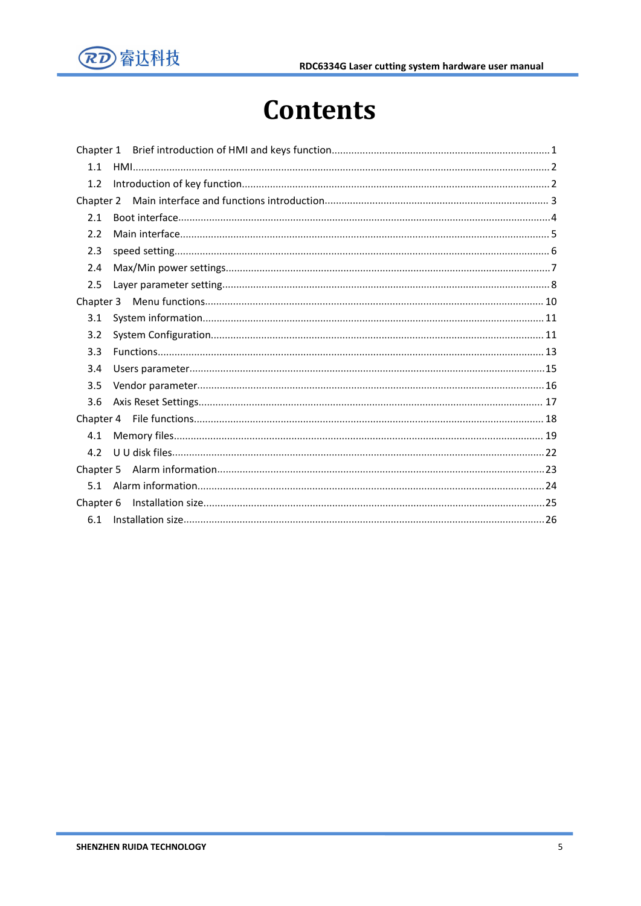

## <span id="page-5-0"></span>**Contents**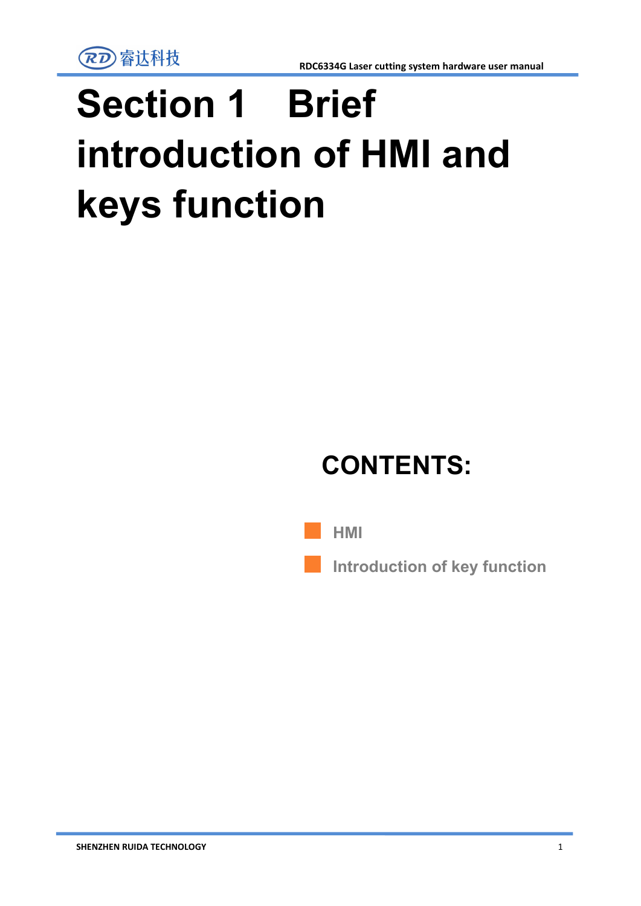# **Section 1 Brief introduction of HMI and keys function**

# **CONTENTS:**

<span id="page-6-0"></span>

**Introduction of key function**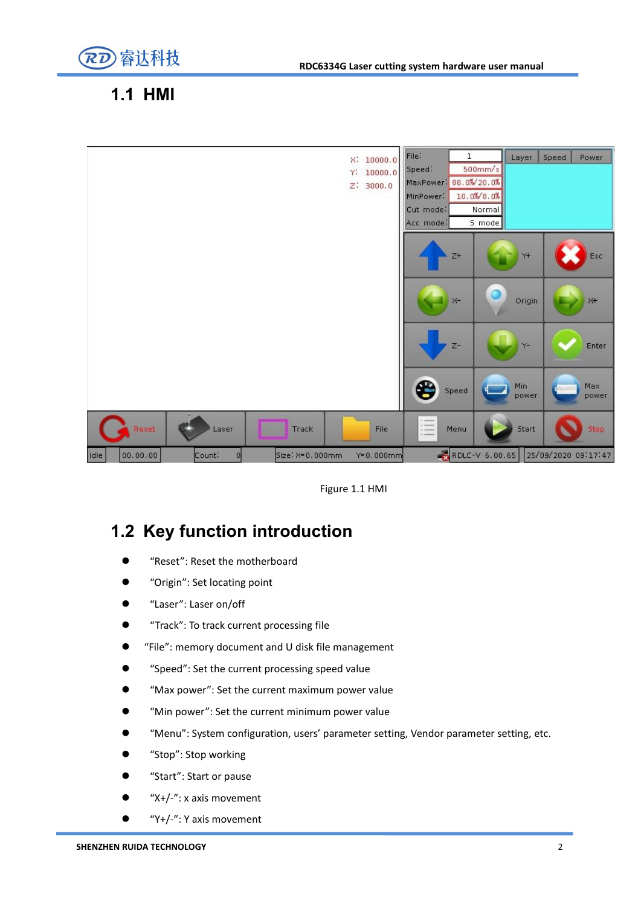

### **1.1 HMI**



Figure 1.1 HMI

### **1.2 Key function introduction**

- "Reset": Reset the motherboard
- "Origin": Set locating point
- "Laser": Laser on/off
- "Track": To track current processing file
- "File": memory document and U disk file management
- "Speed": Set the current processing speed value
- "Max power": Set the current maximum power value
- "Min power": Set the current minimum power value
- "Menu": System configuration, users' parameter setting, Vendor parameter setting, etc.
- "Stop": Stop working
- "Start": Start or pause
- "X+/-": x axis movement
- "Y+/-": Y axis movement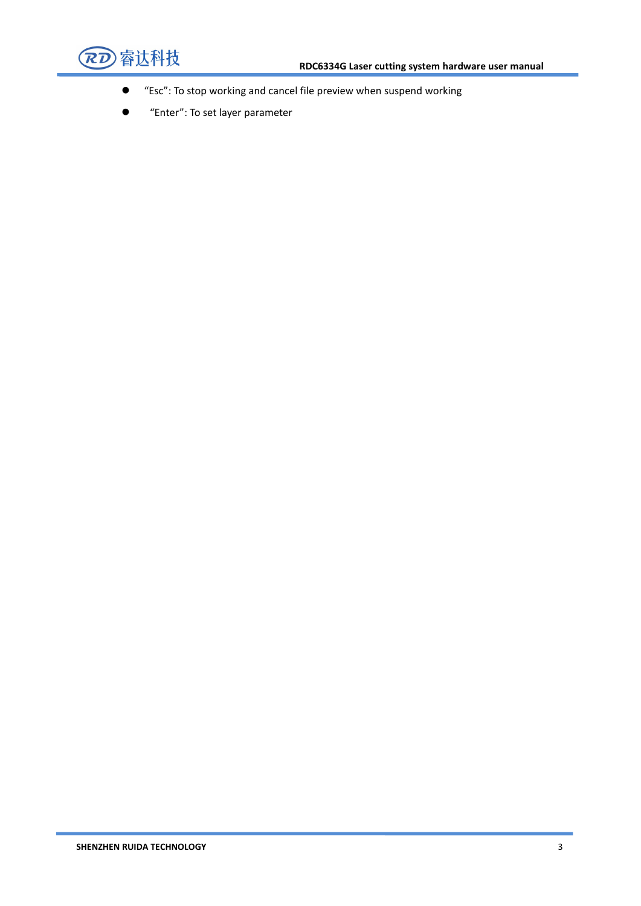

- "Esc": To stop working and cancelfile preview when suspend working
- **•** "Enter": To set layer parameter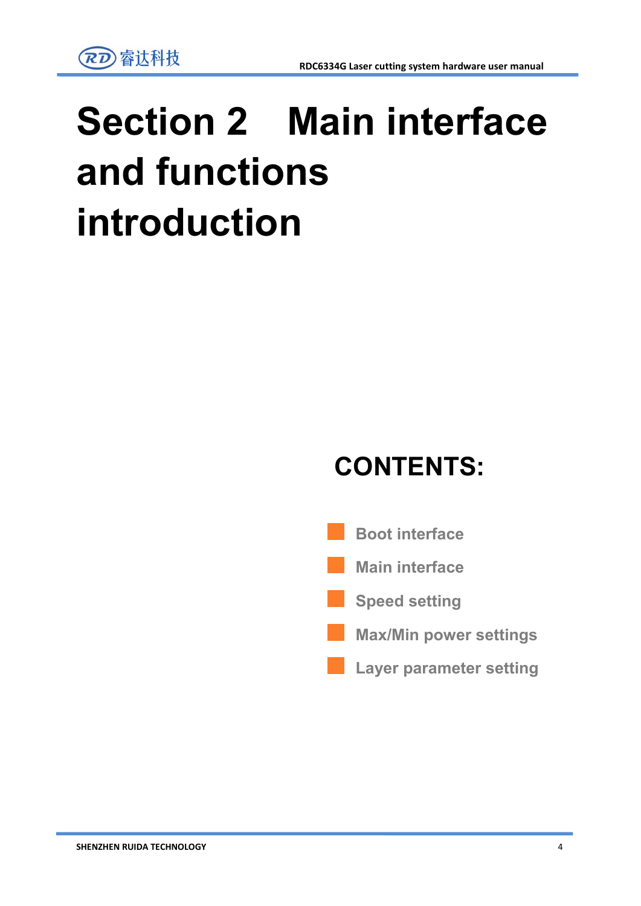

# **Section 2 Main interface and functions introduction**

## **CONTENTS:**

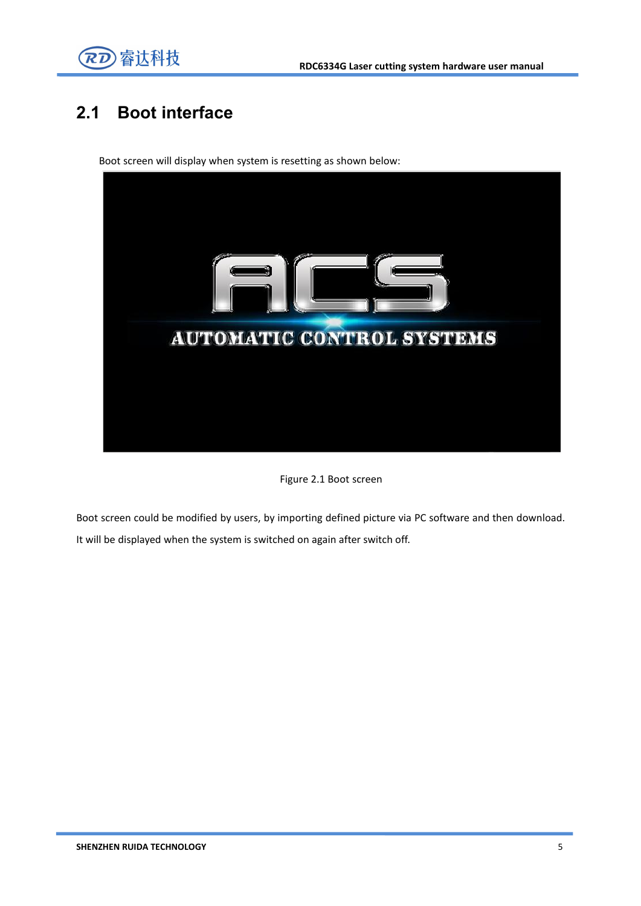

### **2.1 Boot interface**

Boot screen will display when system is resetting as shown below:



Figure 2.1 Boot screen

Boot screen could be modified by users, by importing defined picture via PC software and then download. It will be displayed when the system is switched on again after switch off.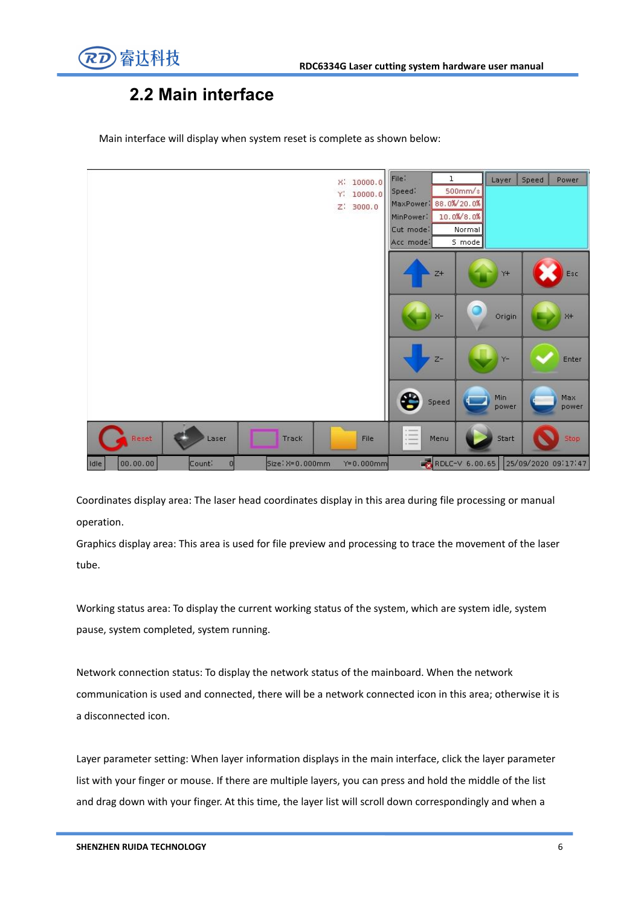

### **2.2 Main interface**

|                                        | X: 10000.0<br>Y,<br>10000.0<br>$Z$ : 3000.0 | File:<br>ı<br>$500$ mm/ $\frac{s}{s}$<br>Speed:<br>MaxPower: 88.0%/20.0%<br>10.0%/8.0%<br>MinPower:<br>Cut mode:<br>Normal<br>S mode<br>Acc mode: | Speed<br>Power<br>Layer                                                |
|----------------------------------------|---------------------------------------------|---------------------------------------------------------------------------------------------------------------------------------------------------|------------------------------------------------------------------------|
|                                        |                                             | $Z+$<br>$\bullet$<br>$x-$                                                                                                                         | $Y+$<br>Esc<br>Origin<br>$X+$                                          |
|                                        |                                             | $Z-$                                                                                                                                              | Enter<br>$Y-$                                                          |
| Reset<br>Laser                         | Track<br>File                               | æ<br>Speed<br>這<br>Menu                                                                                                                           | Min.<br>Max<br>power<br>power<br><b>Samuel Script</b><br>Stop<br>Start |
| Idle<br>00.00.00<br>Count:<br>$\Omega$ | Size: X=0.000mm<br>$Y = 0.000$ mm           | RDLC-V 6.00.65                                                                                                                                    | 25/09/2020 09:17:47                                                    |

Main interface will display when system reset is complete as shown below:

Coordinates display area: The laser head coordinates display in this area during file processing or manual operation.

Graphics display area: This area is used for file preview and processing to trace the movement of the laser tube.

Working status area: To display the current working status of the system, which are system idle, system pause, system completed, system running.

Network connection status: To display the network status of the mainboard. When the network communication is used and connected, there will be a network connected icon in this area; otherwise it is a disconnected icon.

Layer parameter setting: When layer information displays in the main interface, click the layer parameter list with your finger or mouse. If there are multiple layers, you can press and hold the middle of the list and drag down with your finger. At this time, the layer list will scroll down correspondingly and when a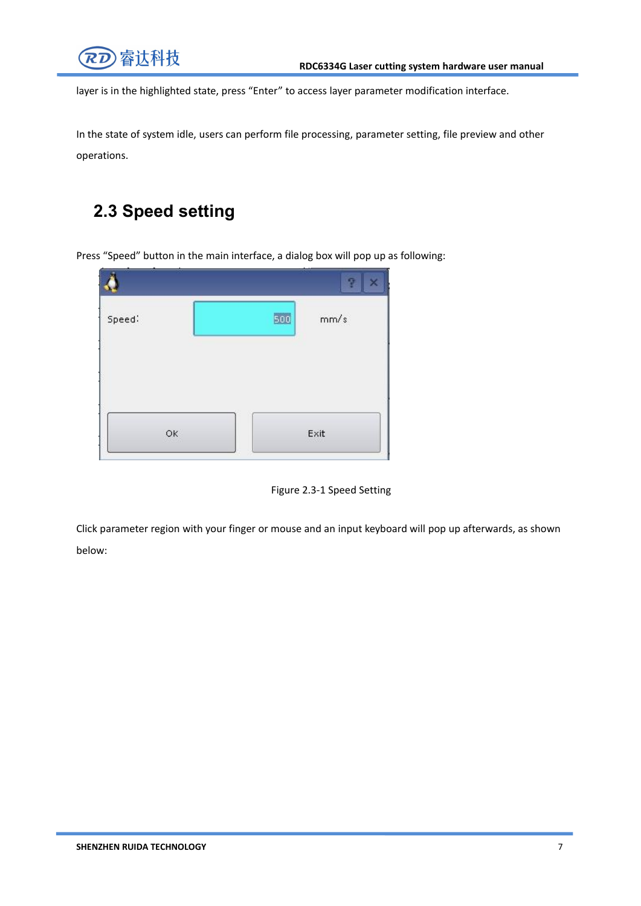

layer is in the highlighted state, press "Enter" to access layer parameter modification interface.

In the state of system idle, users can perform file processing, parameter setting, file preview and other operations.

### **2.3 Speed setting**

<span id="page-12-0"></span>Press "Speed" button in the main interface, a dialog box will pop up as following:

| Speed: |    | 500 | Ŧ<br>$\boldsymbol{\times}$<br>mm/s |
|--------|----|-----|------------------------------------|
|        | OK |     | Exit                               |



Click parameter region with your finger or mouse and an input keyboard will pop up afterwards, as shown below: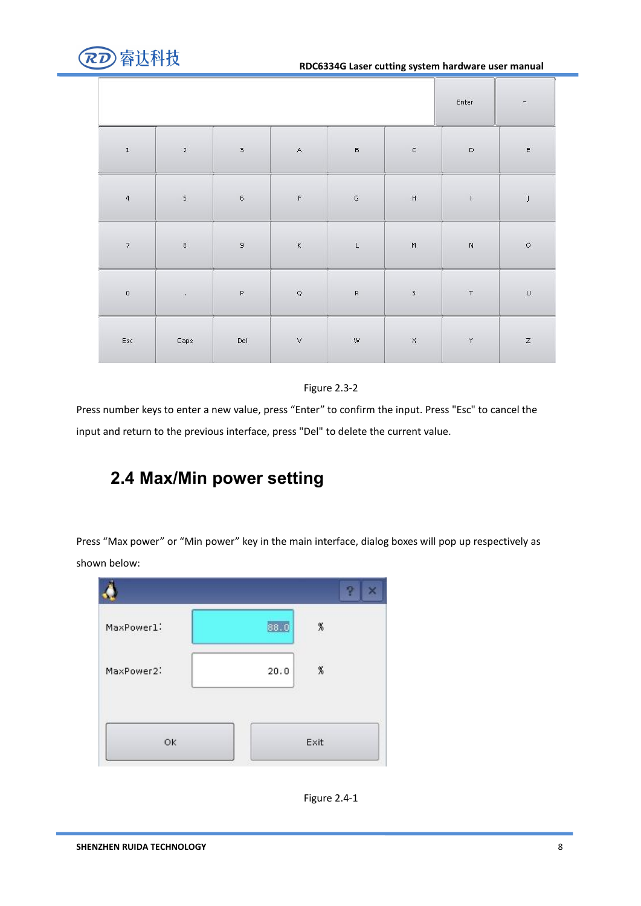

#### **RDC6334G Laser cutting system hardware user manual**

|                         |                          | Enter                                                                                                          | χ÷,            |                      |              |                  |               |
|-------------------------|--------------------------|----------------------------------------------------------------------------------------------------------------|----------------|----------------------|--------------|------------------|---------------|
| $\bf{1}$                | $\overline{\mathbf{2}}$  | $_{\rm 3}$                                                                                                     | $\mathsf{A}$   | $\tilde{\mathsf{B}}$ | $\subset$    | $\mathsf D$      | E             |
| $\mathfrak{q}$          | $\overline{\phantom{a}}$ | $\mathbf 6$                                                                                                    | $\mathsf F$    | $\mathsf{G}\xspace$  | $\mathsf{H}$ | $\mathbf{I}$     | $\frac{1}{2}$ |
| $\overline{\mathbf{7}}$ | $\bf{8}$                 | $\bar{\mathbf{g}}$                                                                                             | $\kappa$       | $\mathsf L$          | $\mathsf{M}$ | $\bar{\text{N}}$ | $\circ$       |
| $\mathbf 0$             | $\lambda$                | $\mathsf{P}% _{T}=\mathsf{P}_{T}\left( \mathsf{P}_{T}\right) \equiv\mathsf{P}_{T}\left( \mathsf{P}_{T}\right)$ | $\hbox{\tt Q}$ | $\mathsf R$          | $\mathsf S$  | $\top$           | $\sf u$       |
| $\mathsf{Esc}$          | Caps                     | Del                                                                                                            | $\vee$         | $\mathsf{W}$         | $\aleph$     | $\curlyvee$      | $\mathsf z$   |



Press number keys to enter a new value, press "Enter" to confirm the input. Press "Esc" to cancel the input and return to the previous interface, press "Del" to delete the current value.

### **2.4 Max/Min power setting**

Press "Max power" or "Min power" key in the main interface, dialog boxes will pop up respectively as shown below:



Figure 2.4-1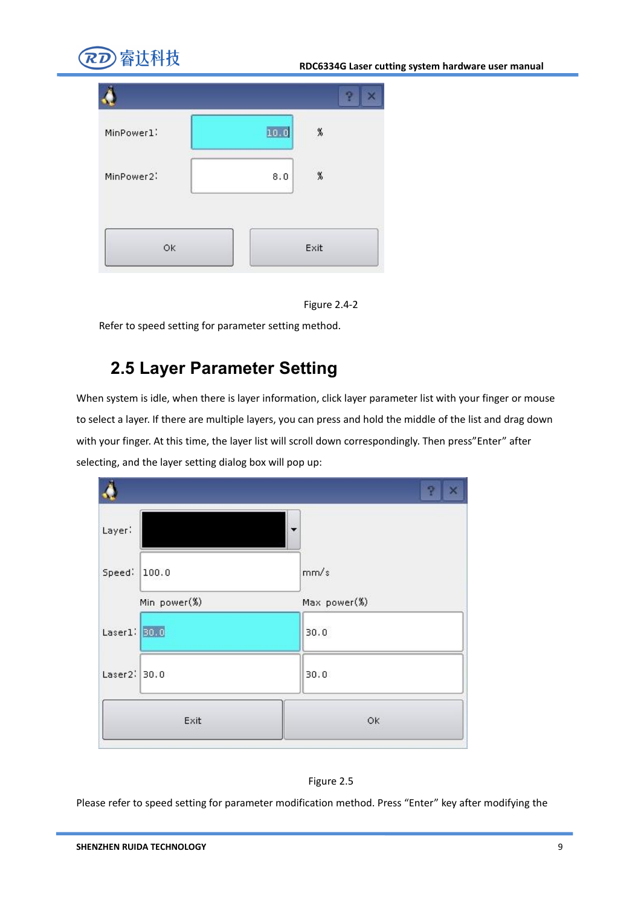





Refer to speed setting for parameter setting method.

### **2.5 Layer Parameter Setting**

When system is idle, when there is layer information, click layer parameter list with your finger or mouse to select a layer. If there are multiple layers, you can press and hold the middle of the list and drag down with your finger. At this time, the layer list will scroll down correspondingly. Then press"Enter" after selecting, and the layer setting dialog box will pop up:





Please refer to speed setting for parameter modification method. Press "Enter" key after modifying the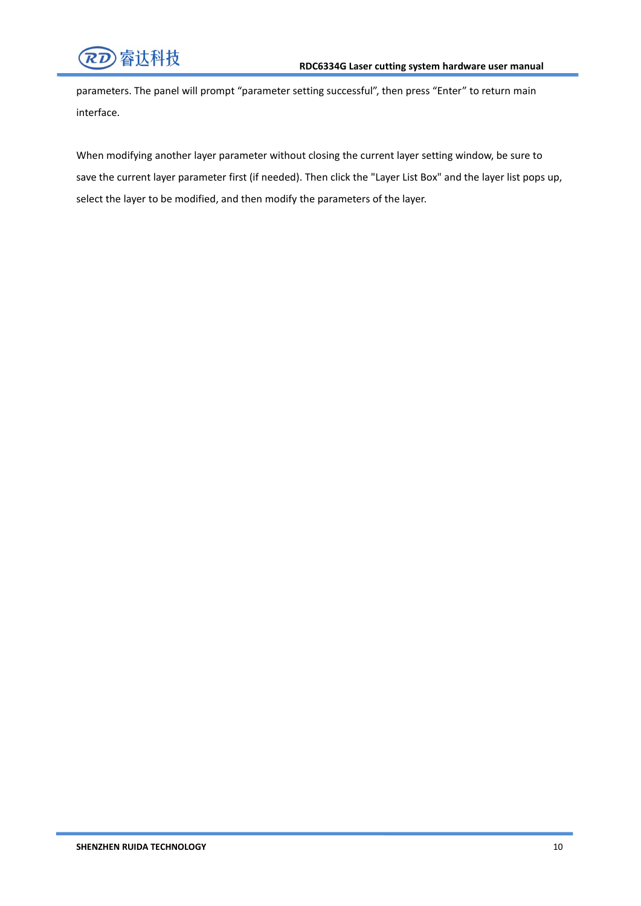

parameters. The panel will prompt "parameter setting successful", then press "Enter" to return main interface.

When modifying another layer parameter without closing the current layer setting window, be sure to save the current layer parameter first (if needed). Then click the "Layer List Box" and the layer list pops up, select the layer to be modified, and then modify the parameters of the layer.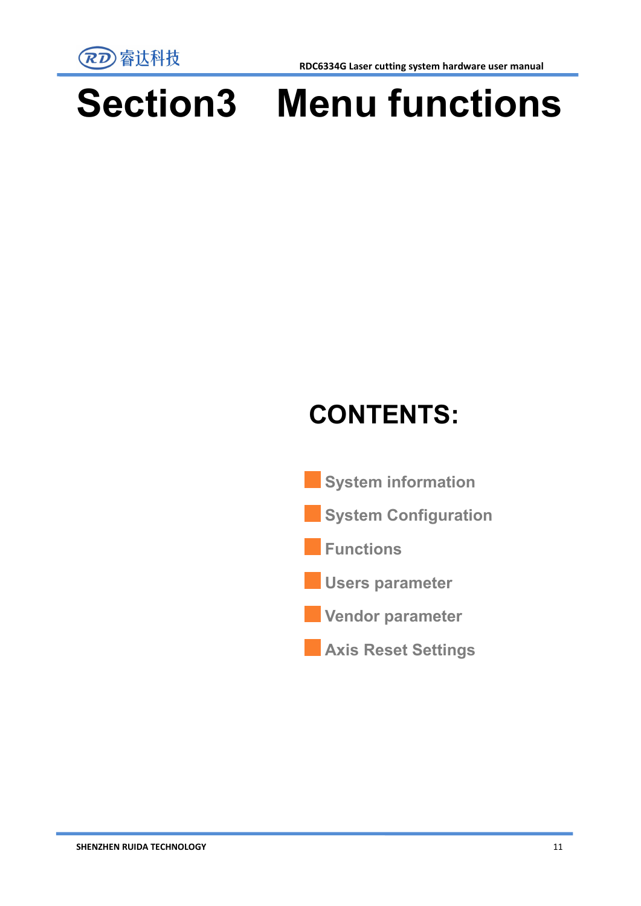

**RDC6334G Laser cutting system hardware user manual**

# **Section3 Menu functions**

# **CONTENTS:**



**Axis Reset Settings**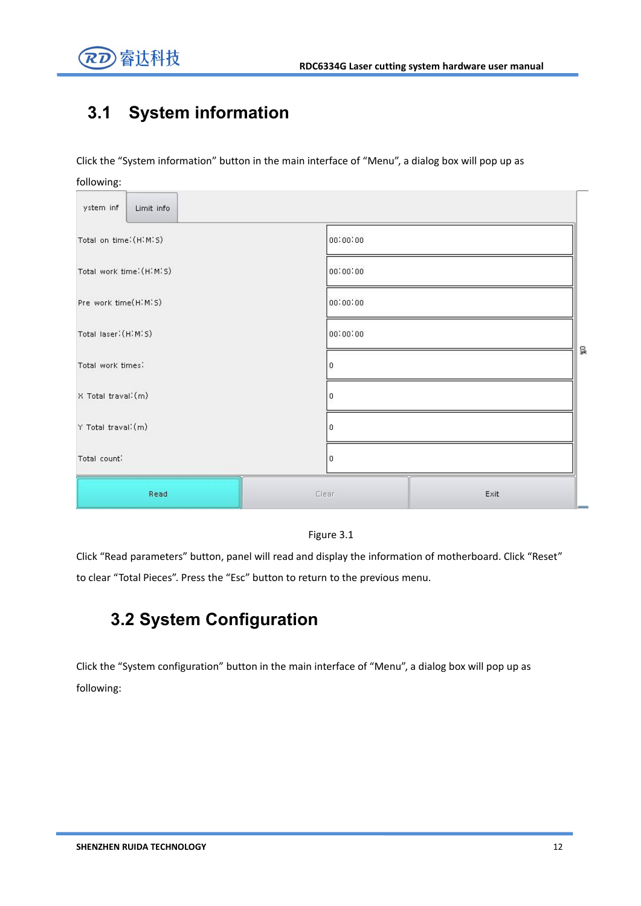



### <span id="page-17-0"></span>**3.1 System information**

Click the "System information" button in the main interface of "Menu", a dialog box will pop up as

| following:               |          |      |
|--------------------------|----------|------|
| ystem inf<br>Limit info  |          |      |
| Total on time: (HIMIS)   | 00:00:00 |      |
| Total work time: (HIMIS) | 00:00:00 |      |
| Pre work time(HIMIS)     | 00:00:00 |      |
| Total laser: (HIMIS)     | 00:00:00 |      |
| Total work times:        | 0        | g    |
| X Total traval: (m)      | 0        |      |
| Y Total traval: (m)      | 0        |      |
| Total count:             | 0        |      |
| Read                     | Clear    | Exit |



Click "Read parameters" button, panel will read and display the information of motherboard. Click "Reset" to clear "Total Pieces". Press the "Esc" button to return to the previous menu.

### **3.2 System Configuration**

Click the "System configuration" button in the main interface of "Menu", a dialog box will pop up as following: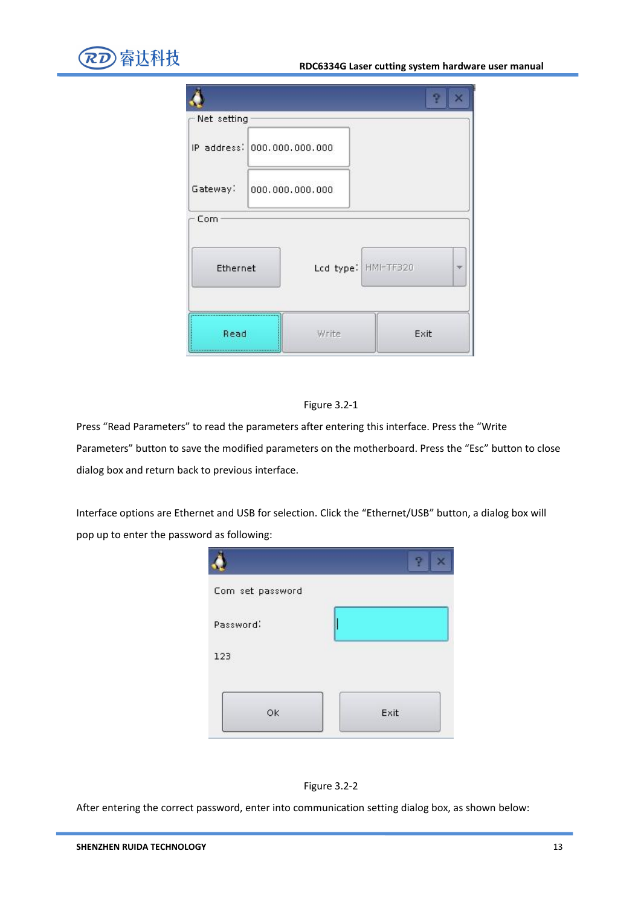

|                             |                     | z    |
|-----------------------------|---------------------|------|
| Net setting                 |                     |      |
| IP address: 000.000.000.000 |                     |      |
| Gateway:                    | 000.000.000.000     |      |
| Com                         |                     |      |
| Ethernet                    | Lcd type: HMI-TF320 |      |
| Read                        | Write               | Exit |

#### Figure 3.2-1

Press "Read Parameters" to read the parameters after entering this interface. Press the "Write Parameters" button to save the modified parameters on the motherboard. Press the "Esc" button to close dialog box and return back to previous interface.

Interface options are Ethernet and USB for selection. Click the "Ethernet/USB" button, a dialog box will pop up to enter the password as following:





After entering the correct password, enter into communication setting dialog box, as shown below: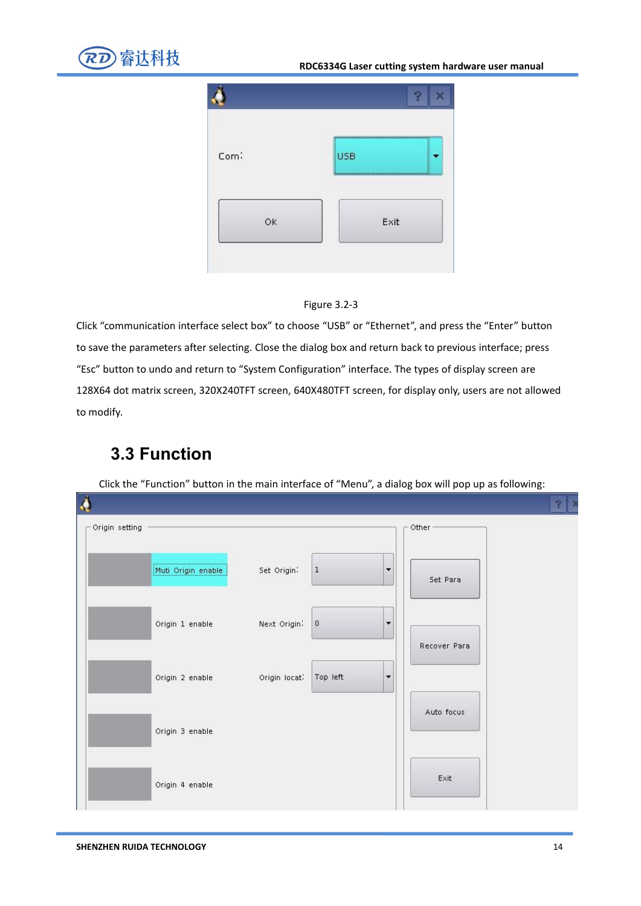

#### **RDC6334G Laser cutting system hardware user manual**





Click "communication interface select box" to choose "USB" or "Ethernet", and press the "Enter" button to save the parameters after selecting. Close the dialog box and return back to previous interface; press "Esc" button to undo and return to "System Configuration" interface. The types of display screen are 128X64 dot matrix screen, 320X240TFT screen, 640X480TFT screen, for display only, users are not allowed to modify.

### **3.3 Function**

Click the "Function" button in the main interface of "Menu", a dialog box will pop up as following:

|                |                    |               |             |                          |              | 7.<br>∣ > |
|----------------|--------------------|---------------|-------------|--------------------------|--------------|-----------|
| Origin setting |                    |               |             |                          | Other-       |           |
|                | Muti Origin enable | Set Origin:   | $\,1$       | $\overline{\phantom{a}}$ | Set Para     |           |
|                | Origin 1 enable    | Next Origin:  | $\mathbf 0$ | $\overline{\phantom{a}}$ | Recover Para |           |
|                | Origin 2 enable    | Origin locat: | Top left    | $\blacktriangledown$     |              |           |
|                | Origin 3 enable    |               |             |                          | Auto focus   |           |
|                | Origin 4 enable    |               |             |                          | Exit         |           |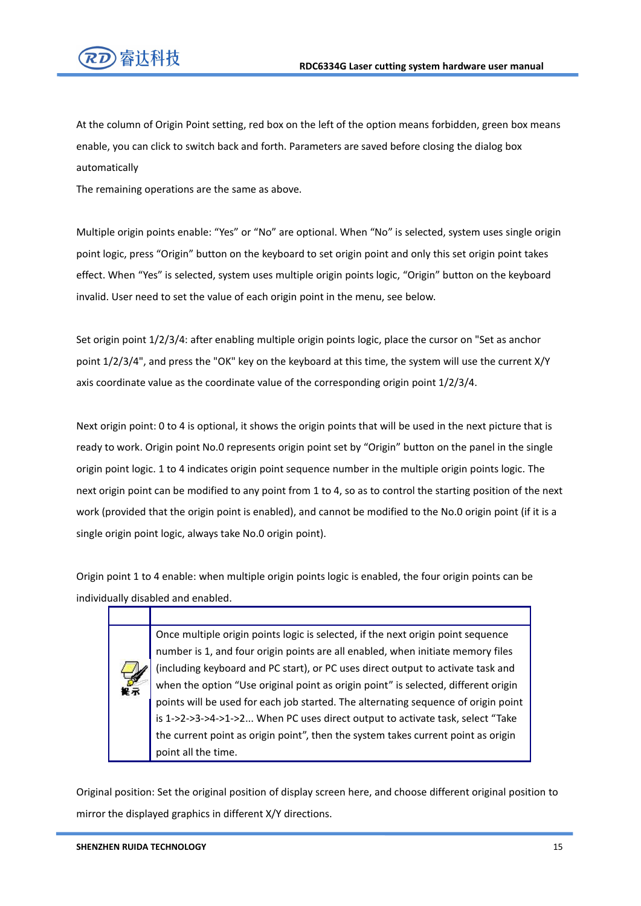

At the column of Origin Point setting, red box on the left of the option means forbidden, green box means enable, you can click to switch back and forth. Parameters are saved before closing the dialog box automatically

The remaining operations are the same as above.

Multiple origin points enable: "Yes" or "No" are optional. When "No" is selected, system uses single origin point logic, press "Origin" button on the keyboard to set origin point and only this set origin point takes effect. When "Yes" is selected, system uses multiple origin points logic, "Origin" button on the keyboard invalid. User need to set the value of each origin point in the menu, see below.

Set origin point 1/2/3/4: after enabling multiple origin points logic, place the cursor on "Set as anchor point 1/2/3/4", and press the "OK" key on the keyboard at this time, the system will use the current X/Y axis coordinate value as the coordinate value of the corresponding origin point 1/2/3/4.

Next origin point: 0 to 4 is optional, it shows the origin points that will be used in the next picture that is ready to work. Origin point No.0 represents origin point set by "Origin" button on the panel in the single origin point logic. 1 to 4 indicates origin point sequence number in the multiple origin points logic.The next origin point can be modified to any point from 1 to 4, so as to control the starting position of the next work (provided that the origin point is enabled), and cannot be modified to the No.0 origin point (if it is a single origin point logic, always take No.0 origin point).

Origin point 1 to 4 enable: when multiple origin points logic is enabled, the four origin points can be individually disabled and enabled.

> Once multiple origin points logic is selected, if the next origin point sequence number is 1, and four origin points are all enabled, when initiate memory files (including keyboard and PC start), or PC uses direct output to activate task and when the option "Use original point as origin point" is selected, different origin points will be used for each job started. The alternating sequence of origin point is 1->2->3->4->1->2... When PC uses direct output to activate task, select "Take the current point as origin point", then the system takes current point as origin point all the time.

Original position: Set the original position of display screen here, and choose different original position to mirror the displayed graphics in different X/Y directions.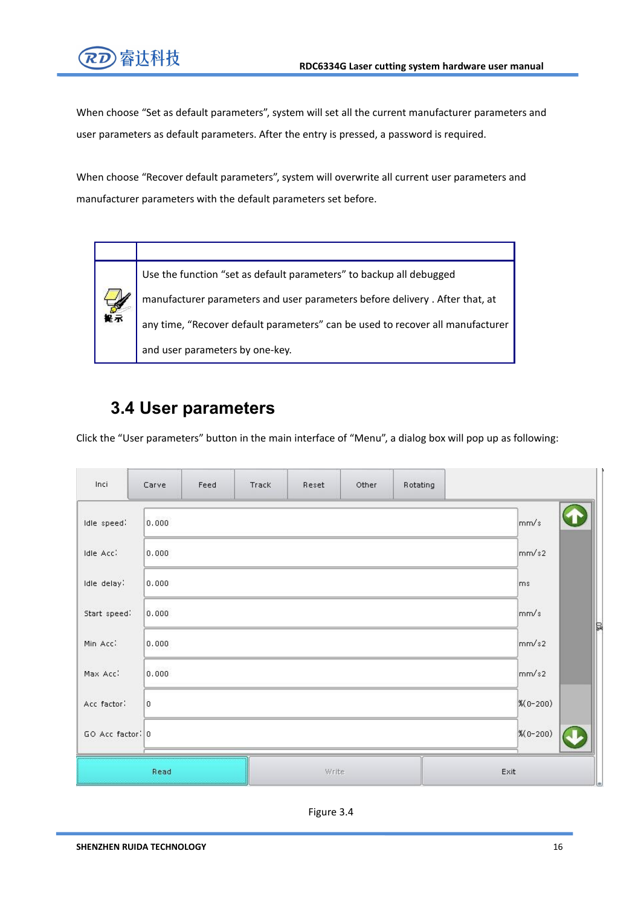

When choose "Set as default parameters", system will set all the current manufacturer parameters and user parameters as default parameters. After the entry is pressed, a password is required.

When choose "Recover default parameters", system will overwrite all current user parameters and manufacturer parameters with the default parameters set before.



Use the function "set as default parameters" to backup all debugged manufacturer parameters and user parameters before delivery . After that, at any time, "Recover default parameters" can be used to recover all manufacturer and user parameters by one-key.

### **3.4 User parameters**

Click the "User parameters" button in the main interface of "Menu", a dialog box will pop up as following:

| Inci             | Carve          | Feed | Track | Reset | Other | Rotating |               |   |
|------------------|----------------|------|-------|-------|-------|----------|---------------|---|
| Idle speed:      | 0.000          |      |       |       |       |          | mm/s          |   |
| Idle Acc:        | 0.000          |      |       |       |       |          | mm/s2         |   |
| Idle delay:      | 0:000          |      |       |       |       |          | ms            |   |
| Start speed:     | 0.000          |      |       |       |       |          | mm/s          | Þ |
| Min Acc:         | 0.000          |      |       |       |       |          | mm/s2         |   |
| Max Acc:         | 0.000          |      |       |       |       |          | mm/s2         |   |
| Acc factor:      | $\overline{0}$ |      |       |       |       |          | $%0-200$      |   |
| GO Acc factor: 0 |                |      |       |       |       |          | $% (0 - 200)$ |   |
|                  | Read           |      |       | Write |       |          | Exit          |   |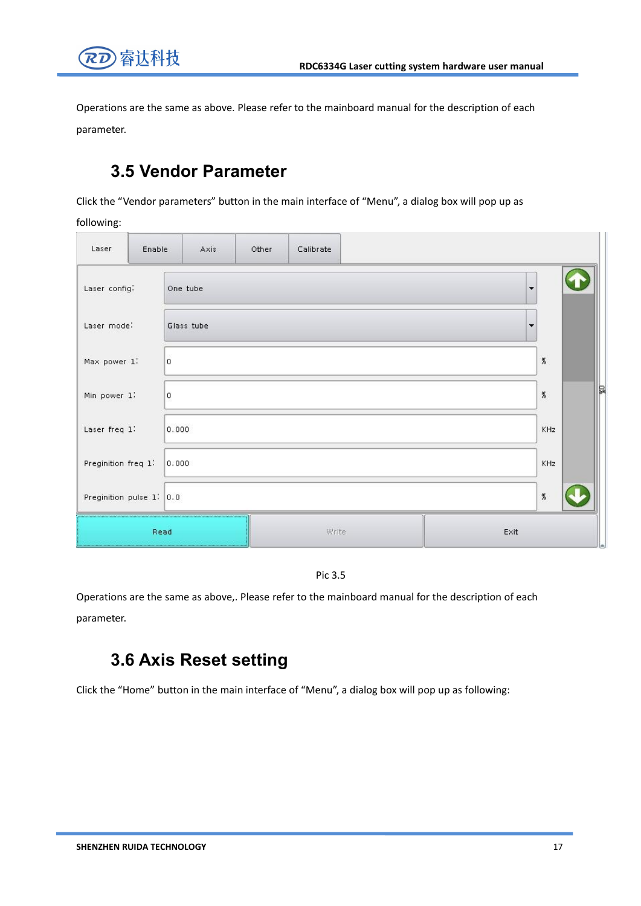

Operations are the same as above. Please refer to the mainboard manual for the description of each parameter.

### **3.5 Vendor Parameter**

Click the "Vendor parameters" button in the main interface of "Menu", a dialog box will pop up as

following:

| Laser                    | Enable | Axis       | Other | Calibrate |      |                          |      |   |
|--------------------------|--------|------------|-------|-----------|------|--------------------------|------|---|
| Laser config:            |        | One tube   |       |           |      | ۰                        |      |   |
| Laser mode:              |        | Glass tube |       |           |      | $\overline{\phantom{a}}$ |      |   |
| Max power 1:             |        | 0          |       |           |      |                          | $\%$ |   |
| Min power 1:             |        | 0          |       |           |      |                          | $\%$ | ₿ |
| Laser freq 1:            |        | 0.000      |       |           |      |                          | KHz  |   |
| Preginition freq 1:      |        | 0,000      |       |           |      |                          | KHz  |   |
| Preginition pulse 1: 0.0 |        |            |       |           |      |                          | $\%$ |   |
|                          | Read   |            |       | Write:    | Exit |                          |      |   |



Operations are the same as above,. Please refer to the mainboard manual for the description of each parameter.

### **3.6 Axis Reset setting**

Click the "Home" button in the main interface of "Menu", a dialog box will pop up as following: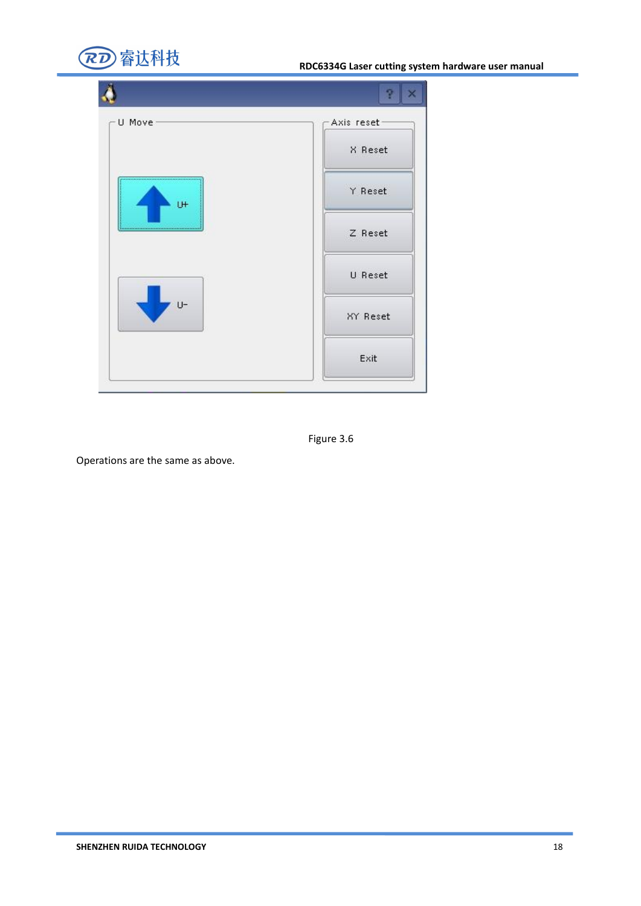

| $-U$ Move      | Axis reset |
|----------------|------------|
|                | X Reset    |
| U <sup>+</sup> | Y Reset    |
|                | Z Reset    |
|                | U Reset    |
| U-             | XY Reset   |
|                | Exit       |



Operations are the same as above.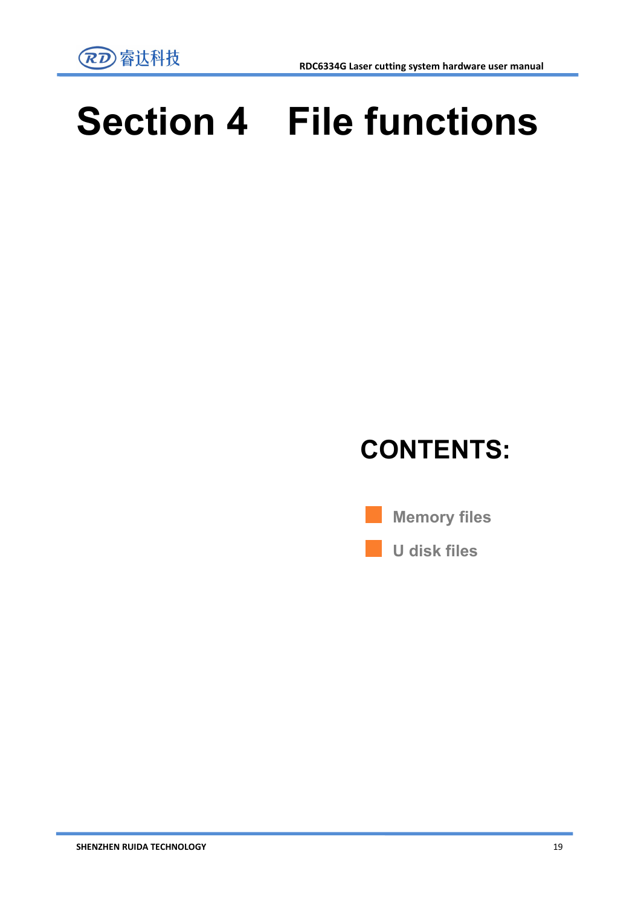

# **Section 4 File functions**

## **CONTENTS:**

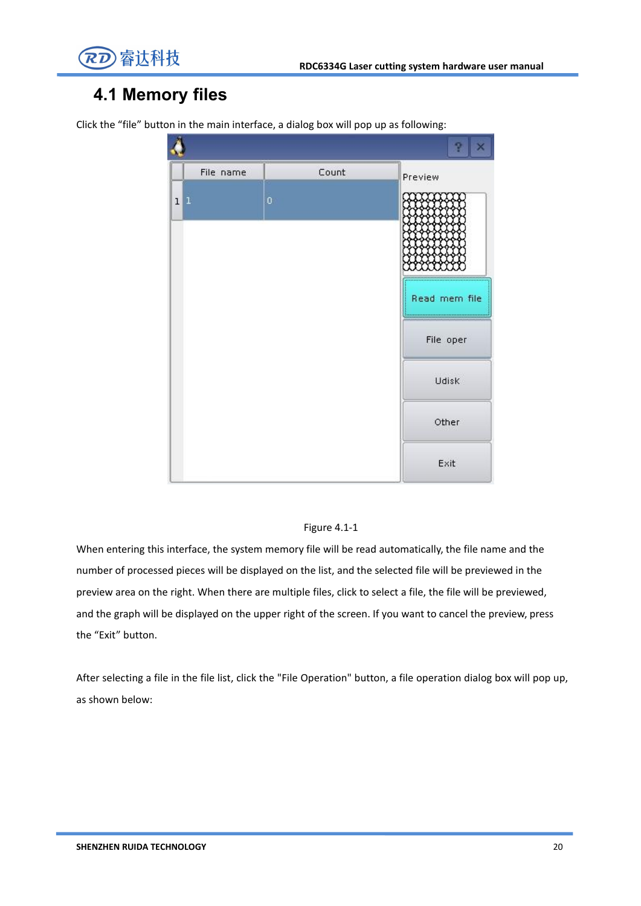

### **4.1 Memory files**

| File name |   | Count | Preview                    |
|-----------|---|-------|----------------------------|
| 1 1       | Ó |       |                            |
|           |   |       | Read mem file<br>File oper |
|           |   |       | Udisk                      |
|           |   |       | Other                      |
|           |   |       | Exit                       |

Click the "file" button in the main interface, a dialog box will pop up as following:

#### Figure 4.1-1

When entering this interface, the system memory file will be read automatically, the file name and the number of processed pieces will be displayed on the list, and the selected file will be previewed in the preview area on the right. When there are multiple files, click to select a file, the file will be previewed,<br>and the graph will be displayed on the upper right of the screen. If you want to cancel the preview, press the "Exit" button.

After selecting a file in the file list, click the "File Operation" button, a file operation dialog box will pop up, as shown below: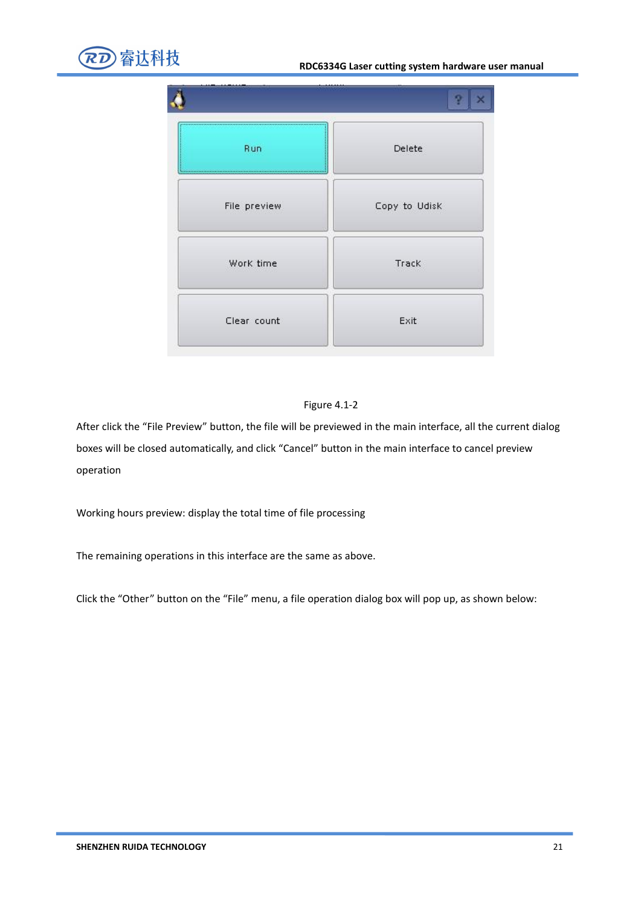



#### Figure 4.1-2

After click the "File Preview" button, the file will be previewed in the main interface, all the current dialog boxes will be closed automatically, and click "Cancel" button in the main interface to cancel preview operation

Working hours preview: display the total time of file processing

The remaining operations in this interface are the same as above.

Click the "Other" button on the "File" menu, a file operation dialog box will pop up, as shown below: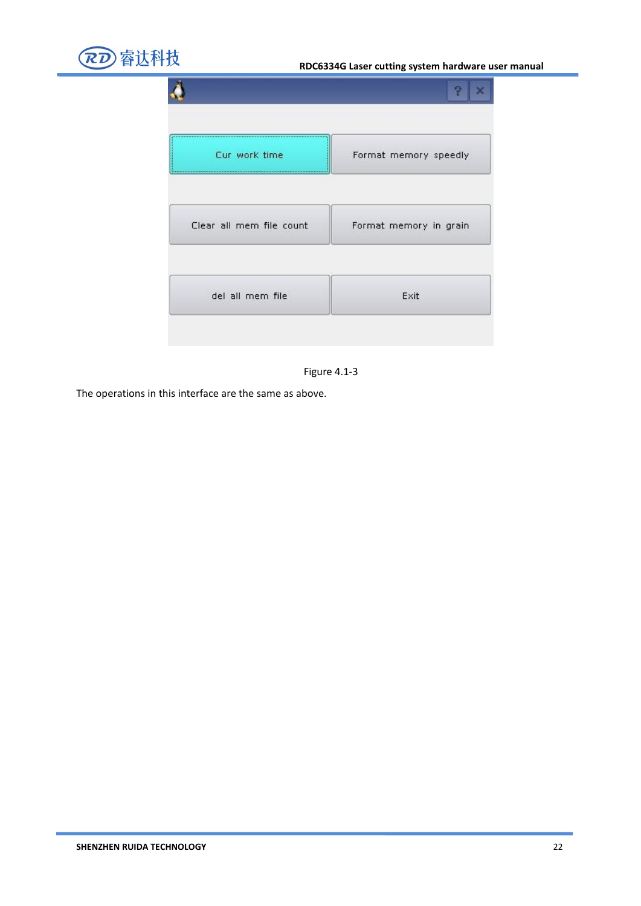



The operations in this interface are the same as above.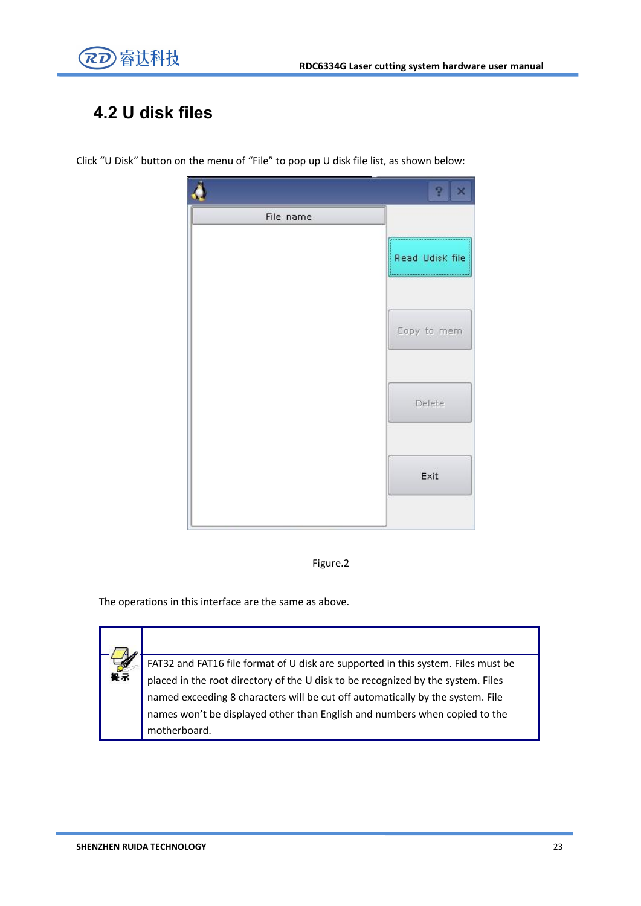

### **4.2 U disk files**

Click "U Disk" button on the menu of "File" to pop up U disk file list, as shown below:





The operations in this interface are the same as above.

梅泉

FAT32 and FAT16 file format of U disk are supported in this system. Files must be placed in the root directory of the U disk to be recognized by the system. Files named exceeding 8 characters will be cut off automatically by the system. File names won't be displayed other than English and numbers when copied to the motherboard.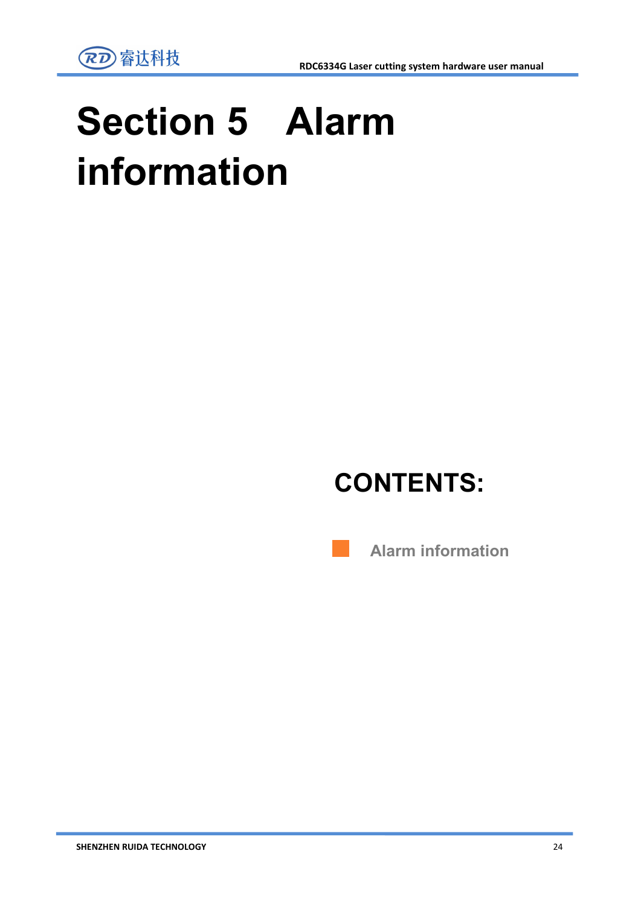

# **Section 5 Alarm information**

## **CONTENTS:**

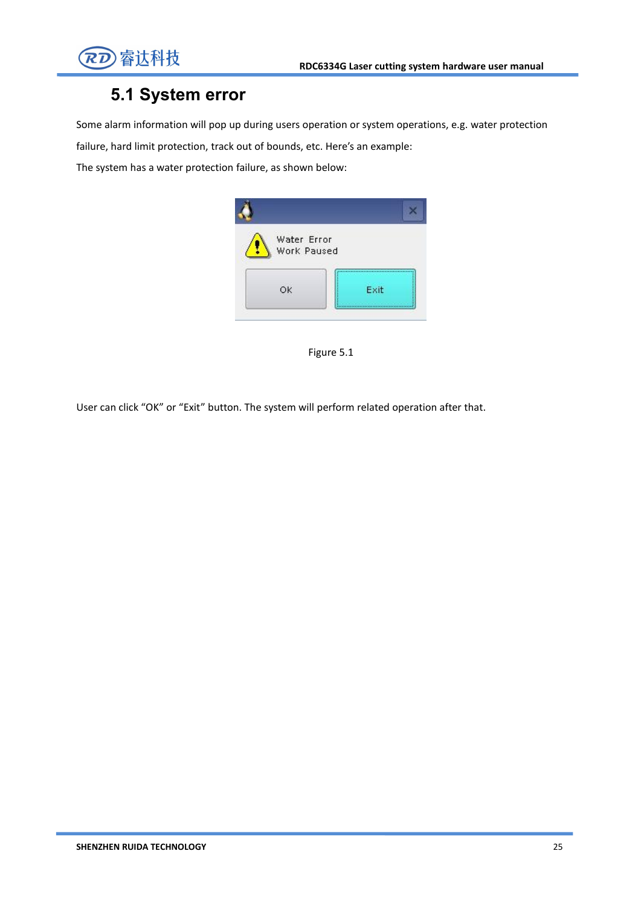

### **5.1 System error**

Some alarm information will pop up during users operation or system operations, e.g. water protection

failure, hard limit protection, track out of bounds, etc. Here's an example:

The system has a water protection failure, as shown below:



Figure 5.1

User can click "OK" or "Exit" button. The system will perform related operation after that.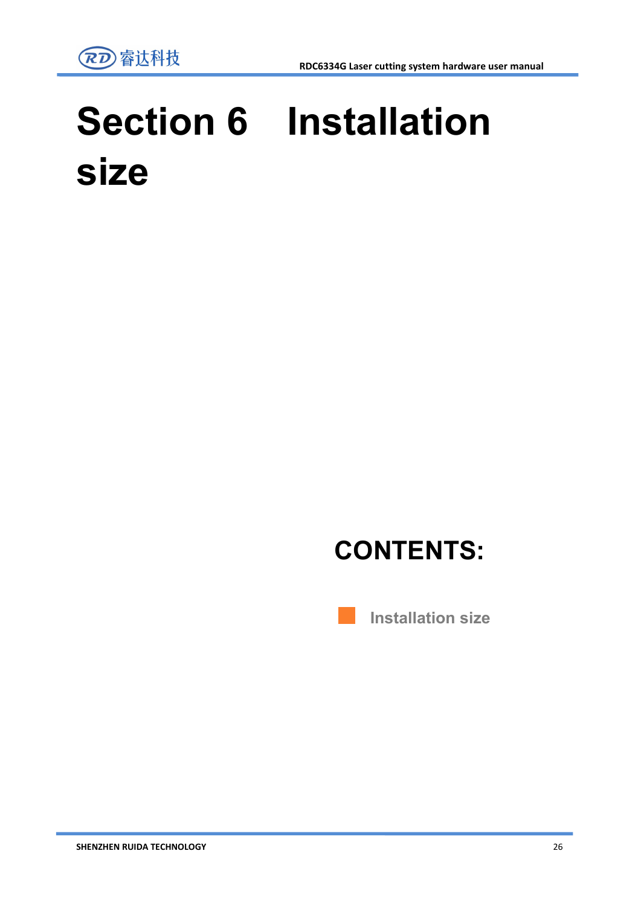

# **Section 6 Installation size**

## **CONTENTS:**

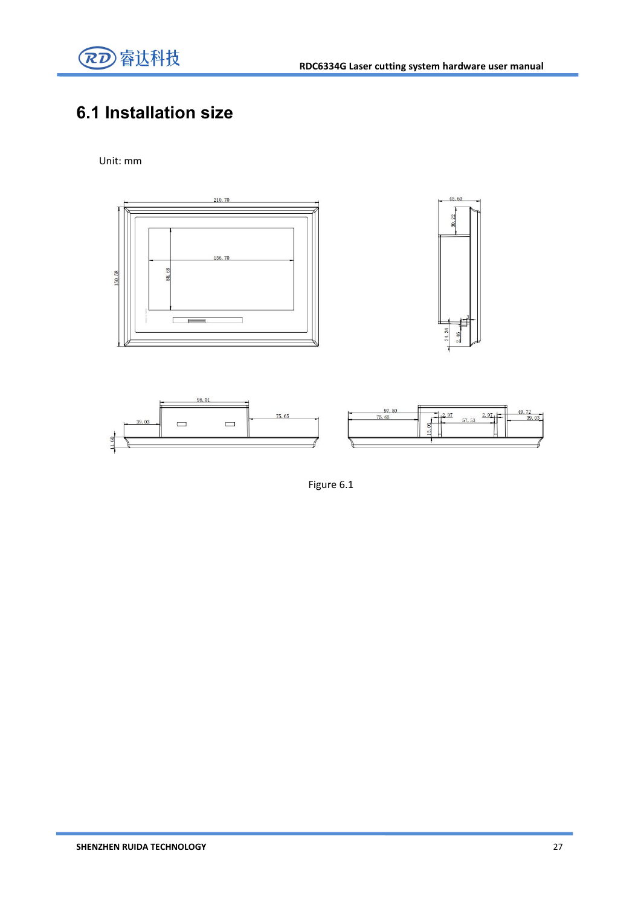

### **6.1 Installation size**

#### Unit: mm



Figure 6.1